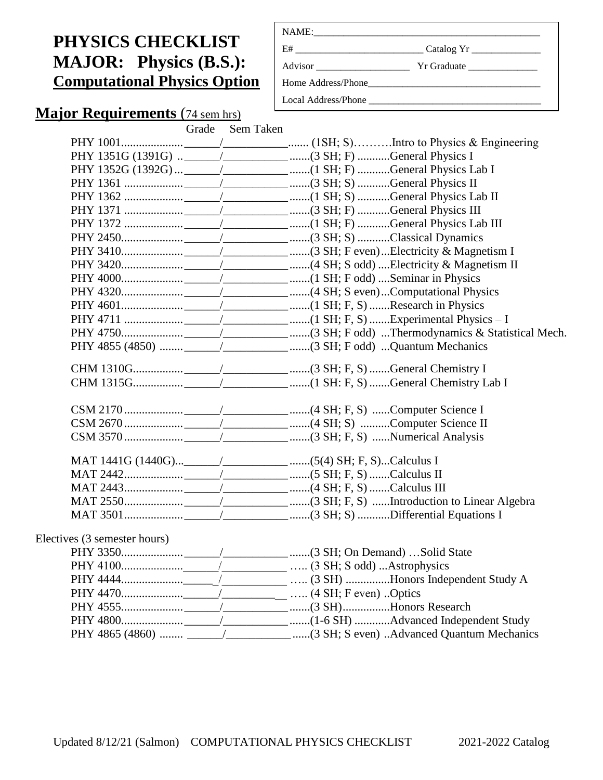# **PHYSICS CHECKLIST MAJOR: Physics (B.S.): Computational Physics Option**

| Local Address/Phone |  |
|---------------------|--|

# **Major Requirements** (74 sem hrs)

|  | Grade Sem Taken |
|--|-----------------|
|  |                 |

| Electives (3 semester hours) |  |
|------------------------------|--|
|                              |  |
|                              |  |
|                              |  |
|                              |  |
|                              |  |
|                              |  |
|                              |  |